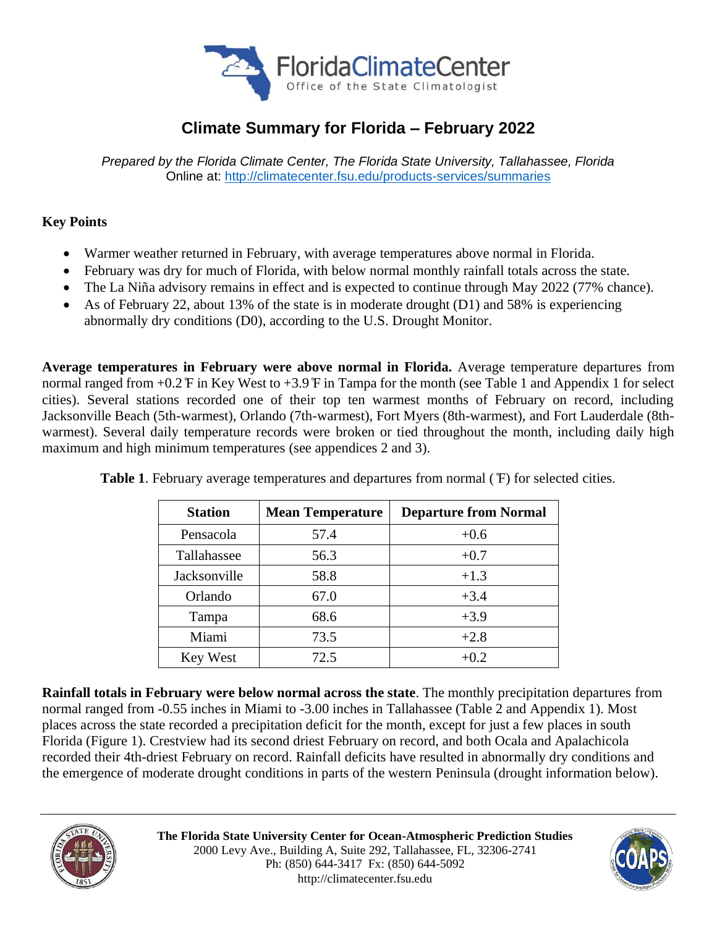

# **Climate Summary for Florida – February 2022**

*Prepared by the Florida Climate Center, The Florida State University, Tallahassee, Florida* Online at:<http://climatecenter.fsu.edu/products-services/summaries>

### **Key Points**

- Warmer weather returned in February, with average temperatures above normal in Florida.
- February was dry for much of Florida, with below normal monthly rainfall totals across the state.
- The La Niña advisory remains in effect and is expected to continue through May 2022 (77% chance).
- As of February 22, about 13% of the state is in moderate drought (D1) and 58% is experiencing abnormally dry conditions (D0), according to the U.S. Drought Monitor.

**Average temperatures in February were above normal in Florida.** Average temperature departures from normal ranged from +0.2 ̊F in Key West to +3.9 ̊F in Tampa for the month (see Table 1 and Appendix 1 for select cities). Several stations recorded one of their top ten warmest months of February on record, including Jacksonville Beach (5th-warmest), Orlando (7th-warmest), Fort Myers (8th-warmest), and Fort Lauderdale (8thwarmest). Several daily temperature records were broken or tied throughout the month, including daily high maximum and high minimum temperatures (see appendices 2 and 3).

| <b>Station</b> | <b>Mean Temperature</b> | <b>Departure from Normal</b> |  |
|----------------|-------------------------|------------------------------|--|
| Pensacola      | 57.4                    | $+0.6$                       |  |
| Tallahassee    | 56.3                    | $+0.7$                       |  |
| Jacksonville   | 58.8                    | $+1.3$                       |  |
| Orlando        | 67.0                    | $+3.4$                       |  |
| Tampa          | 68.6                    | $+3.9$                       |  |
| Miami          | 73.5                    | $+2.8$                       |  |
| Key West       | 72.5                    | $+0.2$                       |  |

**Table 1**. February average temperatures and departures from normal ( ̊F) for selected cities.

**Rainfall totals in February were below normal across the state**. The monthly precipitation departures from normal ranged from -0.55 inches in Miami to -3.00 inches in Tallahassee (Table 2 and Appendix 1). Most places across the state recorded a precipitation deficit for the month, except for just a few places in south Florida (Figure 1). Crestview had its second driest February on record, and both Ocala and Apalachicola recorded their 4th-driest February on record. Rainfall deficits have resulted in abnormally dry conditions and the emergence of moderate drought conditions in parts of the western Peninsula (drought information below).



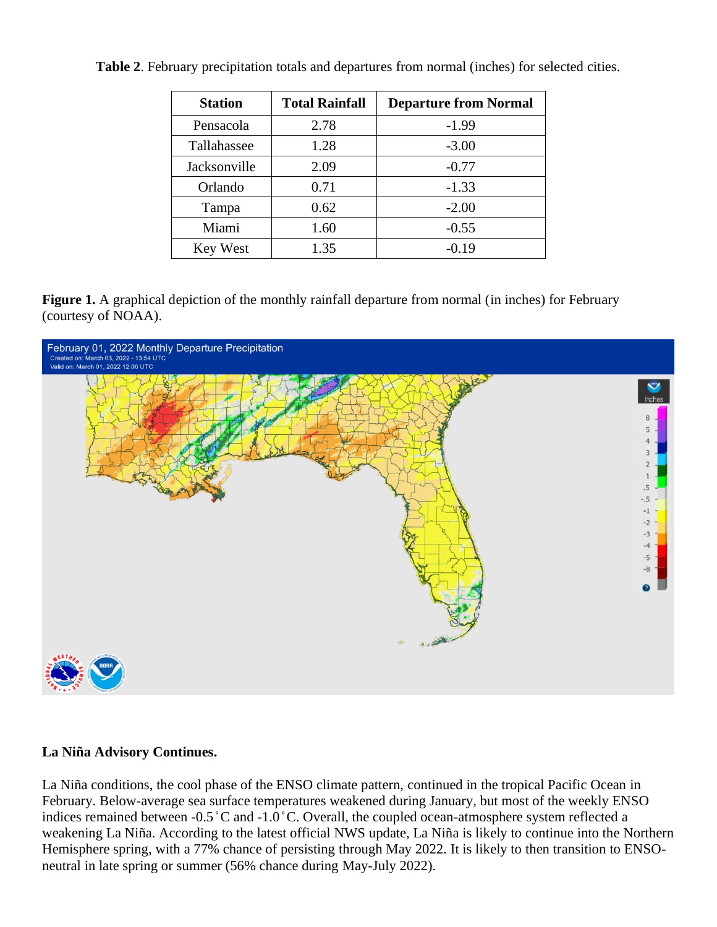| <b>Station</b> | <b>Total Rainfall</b> | <b>Departure from Normal</b> |
|----------------|-----------------------|------------------------------|
| Pensacola      | 2.78                  | $-1.99$                      |
| Tallahassee    | 1.28                  | $-3.00$                      |
| Jacksonville   | 2.09                  | $-0.77$                      |
| Orlando        | 0.71                  | $-1.33$                      |
| Tampa          | 0.62                  | $-2.00$                      |
| Miami          | 1.60                  | $-0.55$                      |
| Key West       | 1.35                  | $-0.19$                      |

**Table 2**. February precipitation totals and departures from normal (inches) for selected cities.

**Figure 1.** A graphical depiction of the monthly rainfall departure from normal (in inches) for February (courtesy of NOAA).



#### **La Niña Advisory Continues.**

La Niña conditions, the cool phase of the ENSO climate pattern, continued in the tropical Pacific Ocean in February. Below-average sea surface temperatures weakened during January, but most of the weekly ENSO indices remained between -0.5 ̊C and -1.0 ̊C. Overall, the coupled ocean-atmosphere system reflected a weakening La Niña. According to the latest official NWS update, La Niña is likely to continue into the Northern Hemisphere spring, with a 77% chance of persisting through May 2022. It is likely to then transition to ENSOneutral in late spring or summer (56% chance during May-July 2022).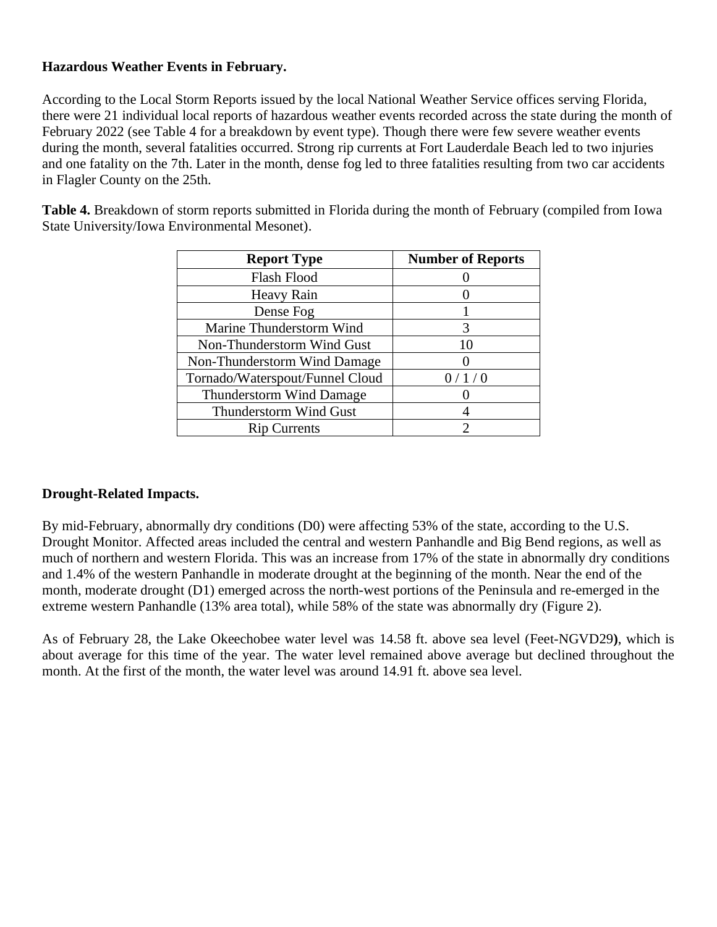#### **Hazardous Weather Events in February.**

According to the Local Storm Reports issued by the local National Weather Service offices serving Florida, there were 21 individual local reports of hazardous weather events recorded across the state during the month of February 2022 (see Table 4 for a breakdown by event type). Though there were few severe weather events during the month, several fatalities occurred. Strong rip currents at Fort Lauderdale Beach led to two injuries and one fatality on the 7th. Later in the month, dense fog led to three fatalities resulting from two car accidents in Flagler County on the 25th.

**Table 4.** Breakdown of storm reports submitted in Florida during the month of February (compiled from Iowa State University/Iowa Environmental Mesonet).

| <b>Report Type</b>              | <b>Number of Reports</b> |
|---------------------------------|--------------------------|
| Flash Flood                     |                          |
| Heavy Rain                      |                          |
| Dense Fog                       |                          |
| Marine Thunderstorm Wind        | 3                        |
| Non-Thunderstorm Wind Gust      | 10                       |
| Non-Thunderstorm Wind Damage    |                          |
| Tornado/Waterspout/Funnel Cloud | 0/1/0                    |
| <b>Thunderstorm Wind Damage</b> |                          |
| Thunderstorm Wind Gust          |                          |
| <b>Rip Currents</b>             |                          |

## **Drought-Related Impacts.**

By mid-February, abnormally dry conditions (D0) were affecting 53% of the state, according to the U.S. Drought Monitor. Affected areas included the central and western Panhandle and Big Bend regions, as well as much of northern and western Florida. This was an increase from 17% of the state in abnormally dry conditions and 1.4% of the western Panhandle in moderate drought at the beginning of the month. Near the end of the month, moderate drought (D1) emerged across the north-west portions of the Peninsula and re-emerged in the extreme western Panhandle (13% area total), while 58% of the state was abnormally dry (Figure 2).

As of February 28, the Lake Okeechobee water level was 14.58 ft. above sea level (Feet-NGVD29**)**, which is about average for this time of the year. The water level remained above average but declined throughout the month. At the first of the month, the water level was around 14.91 ft. above sea level.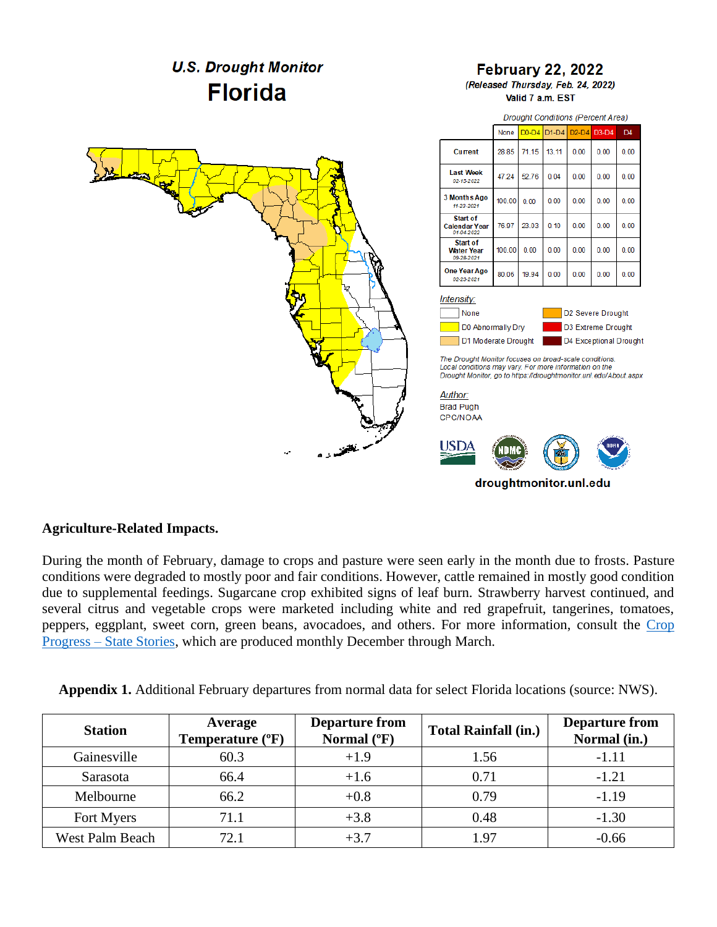

#### **Agriculture-Related Impacts.**

During the month of February, damage to crops and pasture were seen early in the month due to frosts. Pasture conditions were degraded to mostly poor and fair conditions. However, cattle remained in mostly good condition due to supplemental feedings. Sugarcane crop exhibited signs of leaf burn. Strawberry harvest continued, and several citrus and vegetable crops were marketed including white and red grapefruit, tangerines, tomatoes, peppers, eggplant, sweet corn, green beans, avocadoes, and others. For more information, consult the Crop Progress – [State Stories,](https://usda.library.cornell.edu/concern/publications/fq977t77k) which are produced monthly December through March.

| Appendix 1. Additional February departures from normal data for select Florida locations (source: NWS). |  |  |  |
|---------------------------------------------------------------------------------------------------------|--|--|--|
|                                                                                                         |  |  |  |

| <b>Station</b>  | Average<br>Temperature (°F) | <b>Departure from</b><br>Normal (°F) | <b>Total Rainfall (in.)</b> | <b>Departure from</b><br>Normal (in.) |
|-----------------|-----------------------------|--------------------------------------|-----------------------------|---------------------------------------|
| Gainesville     | 60.3                        | $+1.9$                               | 1.56                        | $-1.11$                               |
| Sarasota        | 66.4                        | $+1.6$                               | 0.71                        | $-1.21$                               |
| Melbourne       | 66.2                        | $+0.8$                               | 0.79                        | $-1.19$                               |
| Fort Myers      | 71.1                        | $+3.8$                               | 0.48                        | $-1.30$                               |
| West Palm Beach | 72.1                        | $+3.7$                               | 1.97                        | $-0.66$                               |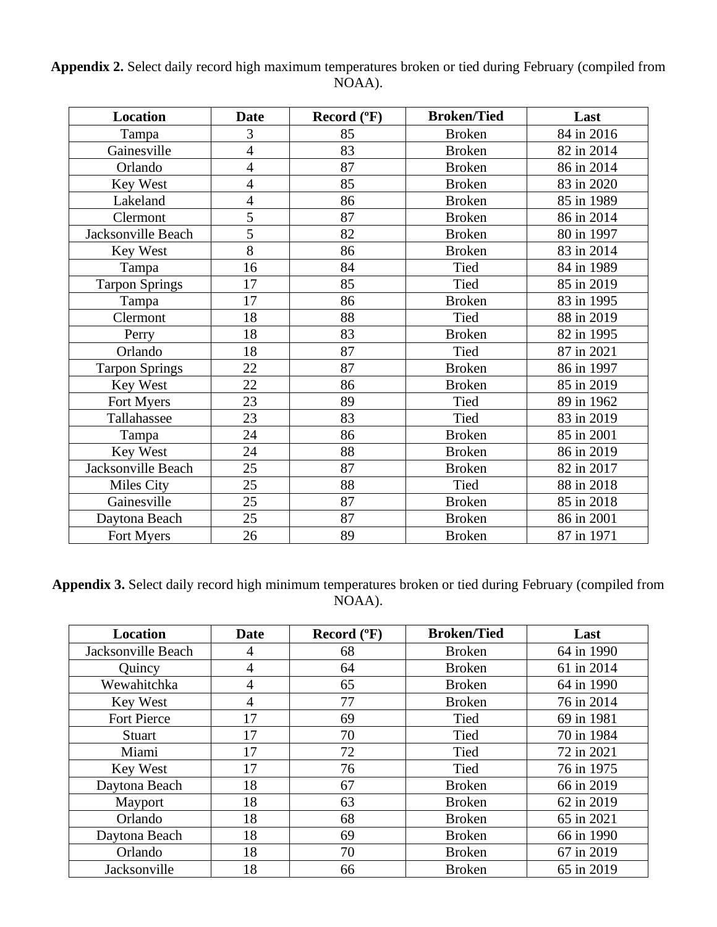### **Appendix 2.** Select daily record high maximum temperatures broken or tied during February (compiled from NOAA).

| <b>Location</b>       | <b>Date</b>    | Record (°F) | <b>Broken/Tied</b> | Last       |
|-----------------------|----------------|-------------|--------------------|------------|
| Tampa                 | 3              | 85          | <b>Broken</b>      | 84 in 2016 |
| Gainesville           | 4              | 83          | <b>Broken</b>      | 82 in 2014 |
| Orlando               | $\overline{4}$ | 87          | <b>Broken</b>      | 86 in 2014 |
| Key West              | 4              | 85          | <b>Broken</b>      | 83 in 2020 |
| Lakeland              | $\overline{4}$ | 86          | <b>Broken</b>      | 85 in 1989 |
| Clermont              | 5              | 87          | <b>Broken</b>      | 86 in 2014 |
| Jacksonville Beach    | 5              | 82          | <b>Broken</b>      | 80 in 1997 |
| Key West              | 8              | 86          | <b>Broken</b>      | 83 in 2014 |
| Tampa                 | 16             | 84          | Tied               | 84 in 1989 |
| <b>Tarpon Springs</b> | 17             | 85          | Tied               | 85 in 2019 |
| Tampa                 | 17             | 86          | <b>Broken</b>      | 83 in 1995 |
| Clermont              | 18             | 88          | Tied               | 88 in 2019 |
| Perry                 | 18             | 83          | <b>Broken</b>      | 82 in 1995 |
| Orlando               | 18             | 87          | Tied               | 87 in 2021 |
| <b>Tarpon Springs</b> | 22             | 87          | <b>Broken</b>      | 86 in 1997 |
| Key West              | 22             | 86          | <b>Broken</b>      | 85 in 2019 |
| Fort Myers            | 23             | 89          | Tied               | 89 in 1962 |
| Tallahassee           | 23             | 83          | Tied               | 83 in 2019 |
| Tampa                 | 24             | 86          | <b>Broken</b>      | 85 in 2001 |
| Key West              | 24             | 88          | <b>Broken</b>      | 86 in 2019 |
| Jacksonville Beach    | 25             | 87          | <b>Broken</b>      | 82 in 2017 |
| Miles City            | 25             | 88          | Tied               | 88 in 2018 |
| Gainesville           | 25             | 87          | <b>Broken</b>      | 85 in 2018 |
| Daytona Beach         | 25             | 87          | <b>Broken</b>      | 86 in 2001 |
| Fort Myers            | 26             | 89          | <b>Broken</b>      | 87 in 1971 |

**Appendix 3.** Select daily record high minimum temperatures broken or tied during February (compiled from NOAA).

| Location           | Date | Record $(^{\circ}F)$ | <b>Broken/Tied</b> | Last       |
|--------------------|------|----------------------|--------------------|------------|
| Jacksonville Beach | 4    | 68                   | <b>Broken</b>      | 64 in 1990 |
| Quincy             | 4    | 64                   | <b>Broken</b>      | 61 in 2014 |
| Wewahitchka        | 4    | 65                   | <b>Broken</b>      | 64 in 1990 |
| Key West           | 4    | 77                   | <b>Broken</b>      | 76 in 2014 |
| <b>Fort Pierce</b> | 17   | 69                   | Tied               | 69 in 1981 |
| <b>Stuart</b>      | 17   | 70                   | Tied               | 70 in 1984 |
| Miami              | 17   | 72                   | Tied               | 72 in 2021 |
| Key West           | 17   | 76                   | Tied               | 76 in 1975 |
| Daytona Beach      | 18   | 67                   | <b>Broken</b>      | 66 in 2019 |
| Mayport            | 18   | 63                   | <b>Broken</b>      | 62 in 2019 |
| Orlando            | 18   | 68                   | <b>Broken</b>      | 65 in 2021 |
| Daytona Beach      | 18   | 69                   | <b>Broken</b>      | 66 in 1990 |
| Orlando            | 18   | 70                   | <b>Broken</b>      | 67 in 2019 |
| Jacksonville       | 18   | 66                   | <b>Broken</b>      | 65 in 2019 |